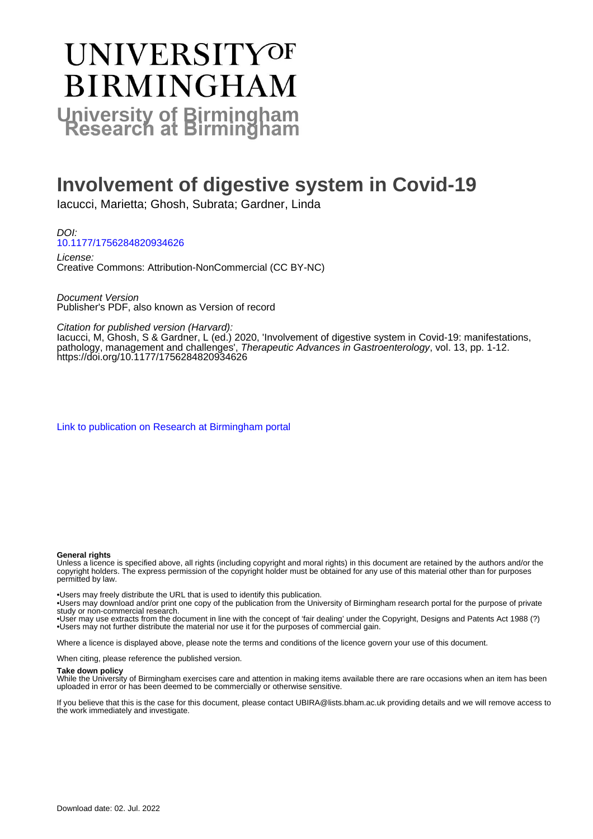# **UNIVERSITYOF BIRMINGHAM University of Birmingham**

# **Involvement of digestive system in Covid-19**

Iacucci, Marietta; Ghosh, Subrata; Gardner, Linda

DOI: [10.1177/1756284820934626](https://doi.org/10.1177/1756284820934626)

License: Creative Commons: Attribution-NonCommercial (CC BY-NC)

Document Version Publisher's PDF, also known as Version of record

Citation for published version (Harvard):

Iacucci, M, Ghosh, S & Gardner, L (ed.) 2020, 'Involvement of digestive system in Covid-19: manifestations, pathology, management and challenges', Therapeutic Advances in Gastroenterology, vol. 13, pp. 1-12. <https://doi.org/10.1177/1756284820934626>

[Link to publication on Research at Birmingham portal](https://birmingham.elsevierpure.com/en/publications/ca0819b4-abb2-4e00-a7da-0f857fa03d9b)

#### **General rights**

Unless a licence is specified above, all rights (including copyright and moral rights) in this document are retained by the authors and/or the copyright holders. The express permission of the copyright holder must be obtained for any use of this material other than for purposes permitted by law.

• Users may freely distribute the URL that is used to identify this publication.

• Users may download and/or print one copy of the publication from the University of Birmingham research portal for the purpose of private study or non-commercial research.

• User may use extracts from the document in line with the concept of 'fair dealing' under the Copyright, Designs and Patents Act 1988 (?) • Users may not further distribute the material nor use it for the purposes of commercial gain.

Where a licence is displayed above, please note the terms and conditions of the licence govern your use of this document.

When citing, please reference the published version.

#### **Take down policy**

While the University of Birmingham exercises care and attention in making items available there are rare occasions when an item has been uploaded in error or has been deemed to be commercially or otherwise sensitive.

If you believe that this is the case for this document, please contact UBIRA@lists.bham.ac.uk providing details and we will remove access to the work immediately and investigate.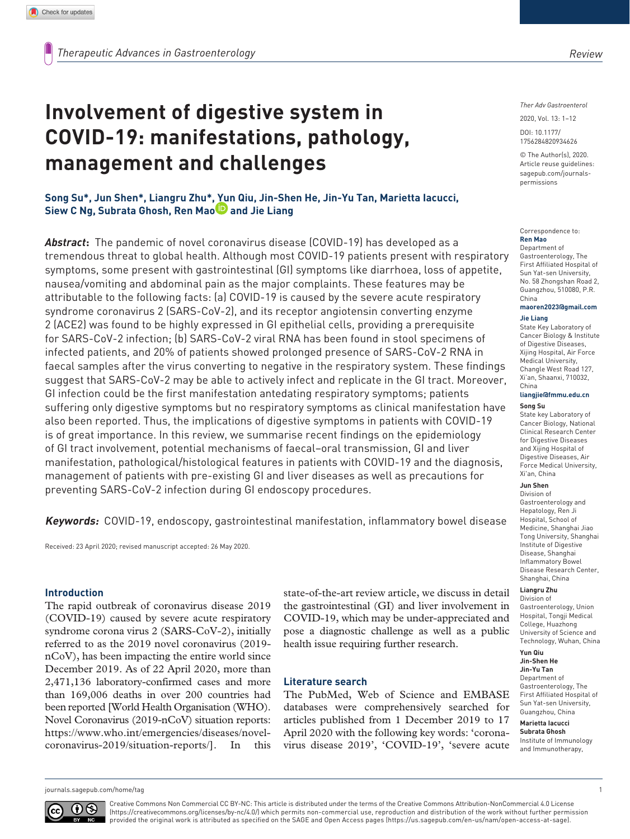# **Involvement of digestive system in COVID-19: manifestations, pathology, management and challenges**

**Song Su\*, Jun Shen\*, Liangru Zhu\*, Yun Qiu, Jin-Shen He, Jin-Yu Tan, Marietta Iacucci, Siew C Ng, Subrata Ghosh, Ren Mao and Jie Liang** 

*Abstract***:** The pandemic of novel coronavirus disease (COVID-19) has developed as a tremendous threat to global health. Although most COVID-19 patients present with respiratory symptoms, some present with gastrointestinal (GI) symptoms like diarrhoea, loss of appetite, nausea/vomiting and abdominal pain as the major complaints. These features may be attributable to the following facts: (a) COVID-19 is caused by the severe acute respiratory syndrome coronavirus 2 (SARS-CoV-2), and its receptor angiotensin converting enzyme 2 (ACE2) was found to be highly expressed in GI epithelial cells, providing a prerequisite for SARS-CoV-2 infection; (b) SARS-CoV-2 viral RNA has been found in stool specimens of infected patients, and 20% of patients showed prolonged presence of SARS-CoV-2 RNA in faecal samples after the virus converting to negative in the respiratory system. These findings suggest that SARS-CoV-2 may be able to actively infect and replicate in the GI tract. Moreover, GI infection could be the first manifestation antedating respiratory symptoms; patients suffering only digestive symptoms but no respiratory symptoms as clinical manifestation have also been reported. Thus, the implications of digestive symptoms in patients with COVID-19 is of great importance. In this review, we summarise recent findings on the epidemiology of GI tract involvement, potential mechanisms of faecal–oral transmission, GI and liver manifestation, pathological/histological features in patients with COVID-19 and the diagnosis, management of patients with pre-existing GI and liver diseases as well as precautions for preventing SARS-CoV-2 infection during GI endoscopy procedures.

**Keywords:** COVID-19, endoscopy, gastrointestinal manifestation, inflammatory bowel disease

Received: 23 April 2020; revised manuscript accepted: 26 May 2020.

# **Introduction**

The rapid outbreak of coronavirus disease 2019 (COVID-19) caused by severe acute respiratory syndrome corona virus 2 (SARS-CoV-2), initially referred to as the 2019 novel coronavirus (2019 nCoV), has been impacting the entire world since December 2019. As of 22 April 2020, more than 2,471,136 laboratory-confirmed cases and more than 169,006 deaths in over 200 countries had been reported [World Health Organisation (WHO). Novel Coronavirus (2019-nCoV) situation reports: [https://www.who.int/emergencies/diseases/novel](https://www.who.int/emergencies/diseases/novel-coronavirus-2019/situation-reports/)[coronavirus-2019/situation-reports/](https://www.who.int/emergencies/diseases/novel-coronavirus-2019/situation-reports/)]. In this

state-of-the-art review article, we discuss in detail the gastrointestinal (GI) and liver involvement in COVID-19, which may be under-appreciated and pose a diagnostic challenge as well as a public health issue requiring further research.

# **Literature search**

The PubMed, Web of Science and EMBASE databases were comprehensively searched for articles published from 1 December 2019 to 17 April 2020 with the following key words: 'coronavirus disease 2019', 'COVID-19', 'severe acute

*Ther Adv Gastroenterol*

DOI: 10.1177/ 2020, Vol. 13: 1–12

© The Author(s), 2020. Article reuse guidelines: [sagepub.com/journals](https://uk.sagepub.com/en-gb/journals-permissions)[permissions](https://uk.sagepub.com/en-gb/journals-permissions)

https://doi.org/10.1177/1756284820934626 1756284820934626

#### Correspondence to: **Ren Mao**

Department of Gastroenterology, The First Affiliated Hospital of Sun Yat-sen University, No. 58 Zhongshan Road 2, Guangzhou, 510080, P.R. China

#### **[maoren2023@gmail.com](mailto:maoren2023@gmail.com) Jie Liang**

State Key Laboratory of Cancer Biology & Institute of Digestive Diseases, Xijing Hospital, Air Force Medical University, Changle West Road 127, Xi'an, Shaanxi, 710032, China

#### **[liangjie@fmmu.edu.cn](mailto:liangjie@fmmu.edu.cn) Song Su**

State key Laboratory of Cancer Biology, National Clinical Research Center for Digestive Diseases and Xijing Hospital of Digestive Diseases, Air Force Medical University, Xi'an, China

#### **Jun Shen**

Division of Gastroenterology and Hepatology, Ren Ji Hospital, School of Medicine, Shanghai Jiao Tong University, Shanghai Institute of Digestive Disease, Shanghai Inflammatory Bowel Disease Research Center, Shanghai, China

### **Liangru Zhu**

Division of Gastroenterology, Union Hospital, Tongji Medical College, Huazhong University of Science and Technology, Wuhan, China

#### **Yun Qiu Jin-Shen He Jin-Yu Tan**

Department of Gastroenterology, The First Affiliated Hospital of Sun Yat-sen University, Guangzhou, China

#### **Marietta Iacucci Subrata Ghosh**

Institute of Immunology and Immunotherapy,

[journals.sagepub.com/home/tag](https://journals.sagepub.com/home/tag) 1



Creative Commons Non Commercial CC BY-NC: This article is distributed under the terms of the Creative Commons Attribution-NonCommercial 4.0 License (https://creativecommons.org/licenses/by-nc/4.0/) which permits non-commercial use, reproduction and distribution of the work without further permission provided the original work is attributed as specified on the SAGE and Open Access pages (https://us.sagepub.com/en-us/nam/open-access-at-sage).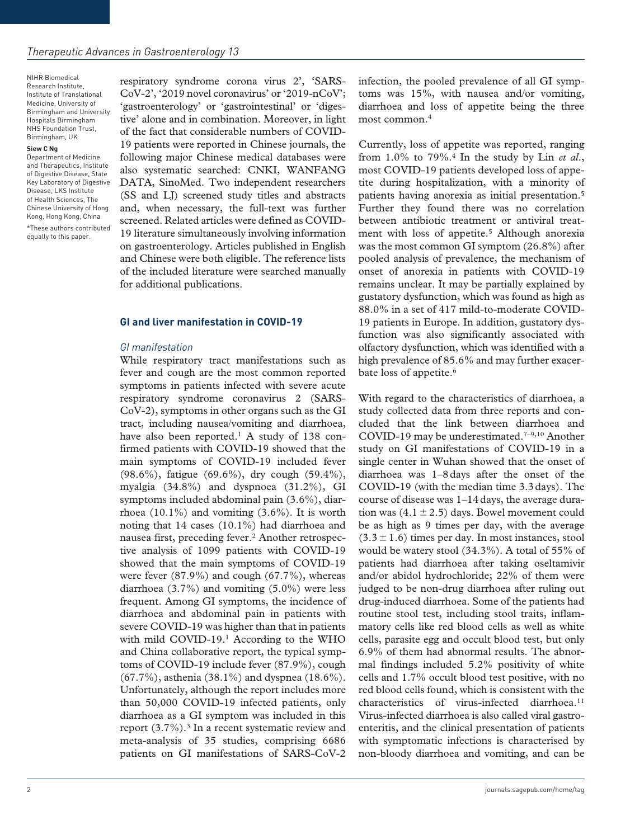NIHR Biomedical Research Institute, Institute of Translational Medicine, University of Birmingham and University Hospitals Birmingham NHS Foundation Trust, Birmingham, UK

#### **Siew C Ng**

Department of Medicine and Therapeutics, Institute of Digestive Disease, State Key Laboratory of Digestive Disease, LKS Institute of Health Sciences, The Chinese University of Hong Kong, Hong Kong, China

\*These authors contributed equally to this paper.

respiratory syndrome corona virus 2', 'SARS-CoV-2', '2019 novel coronavirus' or '2019-nCoV'; 'gastroenterology' or 'gastrointestinal' or 'digestive' alone and in combination. Moreover, in light of the fact that considerable numbers of COVID-19 patients were reported in Chinese journals, the following major Chinese medical databases were also systematic searched: CNKI, WANFANG DATA, SinoMed. Two independent researchers (SS and LJ) screened study titles and abstracts and, when necessary, the full-text was further screened. Related articles were defined as COVID-19 literature simultaneously involving information on gastroenterology. Articles published in English and Chinese were both eligible. The reference lists of the included literature were searched manually for additional publications.

#### **GI and liver manifestation in COVID-19**

#### *GI manifestation*

While respiratory tract manifestations such as fever and cough are the most common reported symptoms in patients infected with severe acute respiratory syndrome coronavirus 2 (SARS-CoV-2), symptoms in other organs such as the GI tract, including nausea/vomiting and diarrhoea, have also been reported.<sup>1</sup> A study of 138 confirmed patients with COVID-19 showed that the main symptoms of COVID-19 included fever (98.6%), fatigue (69.6%), dry cough (59.4%), myalgia (34.8%) and dyspnoea (31.2%), GI symptoms included abdominal pain (3.6%), diarrhoea  $(10.1\%)$  and vomiting  $(3.6\%)$ . It is worth noting that 14 cases (10.1%) had diarrhoea and nausea first, preceding fever.2 Another retrospective analysis of 1099 patients with COVID-19 showed that the main symptoms of COVID-19 were fever (87.9%) and cough (67.7%), whereas diarrhoea (3.7%) and vomiting (5.0%) were less frequent. Among GI symptoms, the incidence of diarrhoea and abdominal pain in patients with severe COVID-19 was higher than that in patients with mild COVID-19.<sup>1</sup> According to the WHO and China collaborative report, the typical symptoms of COVID-19 include fever (87.9%), cough (67.7%), asthenia (38.1%) and dyspnea (18.6%). Unfortunately, although the report includes more than 50,000 COVID-19 infected patients, only diarrhoea as a GI symptom was included in this report  $(3.7\%)$ .<sup>3</sup> In a recent systematic review and meta-analysis of 35 studies, comprising 6686 patients on GI manifestations of SARS-CoV-2 infection, the pooled prevalence of all GI symptoms was 15%, with nausea and/or vomiting, diarrhoea and loss of appetite being the three most common.4

Currently, loss of appetite was reported, ranging from 1.0% to 79%.4 In the study by Lin *et al*., most COVID-19 patients developed loss of appetite during hospitalization, with a minority of patients having anorexia as initial presentation.5 Further they found there was no correlation between antibiotic treatment or antiviral treatment with loss of appetite.<sup>5</sup> Although anorexia was the most common GI symptom (26.8%) after pooled analysis of prevalence, the mechanism of onset of anorexia in patients with COVID-19 remains unclear. It may be partially explained by gustatory dysfunction, which was found as high as 88.0% in a set of 417 mild-to-moderate COVID-19 patients in Europe. In addition, gustatory dysfunction was also significantly associated with olfactory dysfunction, which was identified with a high prevalence of 85.6% and may further exacerbate loss of appetite.<sup>6</sup>

With regard to the characteristics of diarrhoea, a study collected data from three reports and concluded that the link between diarrhoea and COVID-19 may be underestimated.<sup>7-9,10</sup> Another study on GI manifestations of COVID-19 in a single center in Wuhan showed that the onset of diarrhoea was 1–8days after the onset of the COVID-19 (with the median time 3.3days). The course of disease was 1–14days, the average duration was  $(4.1 \pm 2.5)$  days. Bowel movement could be as high as 9 times per day, with the average  $(3.3 \pm 1.6)$  times per day. In most instances, stool would be watery stool (34.3%). A total of 55% of patients had diarrhoea after taking oseltamivir and/or abidol hydrochloride; 22% of them were judged to be non-drug diarrhoea after ruling out drug-induced diarrhoea. Some of the patients had routine stool test, including stool traits, inflammatory cells like red blood cells as well as white cells, parasite egg and occult blood test, but only 6.9% of them had abnormal results. The abnormal findings included 5.2% positivity of white cells and 1.7% occult blood test positive, with no red blood cells found, which is consistent with the characteristics of virus-infected diarrhoea.<sup>11</sup> Virus-infected diarrhoea is also called viral gastroenteritis, and the clinical presentation of patients with symptomatic infections is characterised by non-bloody diarrhoea and vomiting, and can be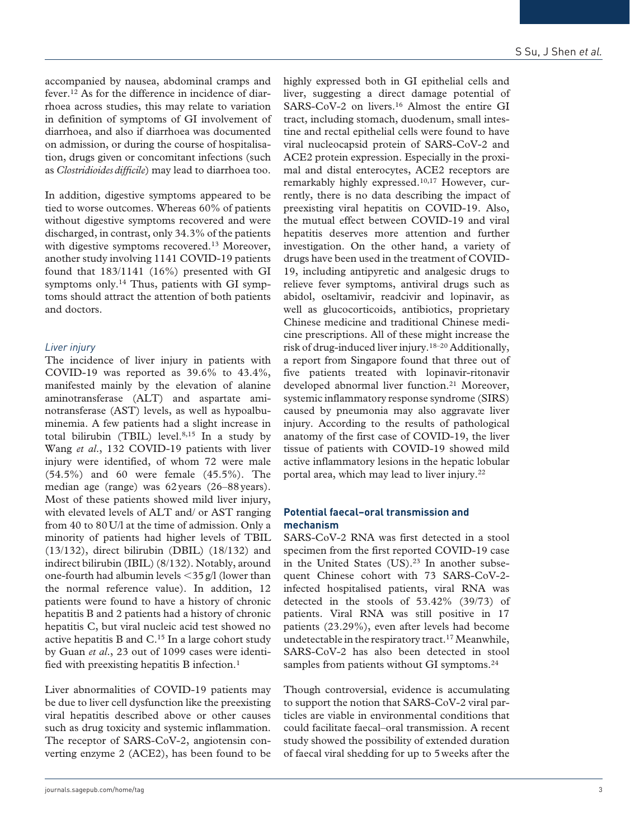accompanied by nausea, abdominal cramps and fever.12 As for the difference in incidence of diarrhoea across studies, this may relate to variation in definition of symptoms of GI involvement of diarrhoea, and also if diarrhoea was documented on admission, or during the course of hospitalisation, drugs given or concomitant infections (such as *Clostridioides difficile*) may lead to diarrhoea too.

In addition, digestive symptoms appeared to be tied to worse outcomes. Whereas 60% of patients without digestive symptoms recovered and were discharged, in contrast, only 34.3% of the patients with digestive symptoms recovered.<sup>13</sup> Moreover, another study involving 1141 COVID-19 patients found that 183/1141 (16%) presented with GI symptoms only.14 Thus, patients with GI symptoms should attract the attention of both patients and doctors.

#### *Liver injury*

The incidence of liver injury in patients with COVID-19 was reported as 39.6% to 43.4%, manifested mainly by the elevation of alanine aminotransferase (ALT) and aspartate aminotransferase (AST) levels, as well as hypoalbuminemia. A few patients had a slight increase in total bilirubin (TBIL) level.8,15 In a study by Wang *et al*., 132 COVID-19 patients with liver injury were identified, of whom 72 were male (54.5%) and 60 were female (45.5%). The median age (range) was 62years (26–88years). Most of these patients showed mild liver injury, with elevated levels of ALT and/ or AST ranging from 40 to 80U/l at the time of admission. Only a minority of patients had higher levels of TBIL (13/132), direct bilirubin (DBIL) (18/132) and indirect bilirubin (IBIL) (8/132). Notably, around one-fourth had albumin levels  $\langle 35 \text{ g}/l$  (lower than the normal reference value). In addition, 12 patients were found to have a history of chronic hepatitis B and 2 patients had a history of chronic hepatitis C, but viral nucleic acid test showed no active hepatitis B and  $C<sup>15</sup>$  In a large cohort study by Guan *et al*., 23 out of 1099 cases were identified with preexisting hepatitis B infection.1

Liver abnormalities of COVID-19 patients may be due to liver cell dysfunction like the preexisting viral hepatitis described above or other causes such as drug toxicity and systemic inflammation. The receptor of SARS-CoV-2, angiotensin converting enzyme 2 (ACE2), has been found to be

highly expressed both in GI epithelial cells and liver, suggesting a direct damage potential of SARS-CoV-2 on livers.16 Almost the entire GI tract, including stomach, duodenum, small intestine and rectal epithelial cells were found to have viral nucleocapsid protein of SARS-CoV-2 and ACE2 protein expression. Especially in the proximal and distal enterocytes, ACE2 receptors are remarkably highly expressed.10,17 However, currently, there is no data describing the impact of preexisting viral hepatitis on COVID-19. Also, the mutual effect between COVID-19 and viral hepatitis deserves more attention and further investigation. On the other hand, a variety of drugs have been used in the treatment of COVID-19, including antipyretic and analgesic drugs to relieve fever symptoms, antiviral drugs such as abidol, oseltamivir, readcivir and lopinavir, as well as glucocorticoids, antibiotics, proprietary Chinese medicine and traditional Chinese medicine prescriptions. All of these might increase the risk of drug-induced liver injury.18–20 Additionally, a report from Singapore found that three out of five patients treated with lopinavir-ritonavir developed abnormal liver function.<sup>21</sup> Moreover, systemic inflammatory response syndrome (SIRS) caused by pneumonia may also aggravate liver injury. According to the results of pathological anatomy of the first case of COVID-19, the liver tissue of patients with COVID-19 showed mild active inflammatory lesions in the hepatic lobular portal area, which may lead to liver injury.22

#### **Potential faecal–oral transmission and mechanism**

SARS-CoV-2 RNA was first detected in a stool specimen from the first reported COVID-19 case in the United States (US).<sup>23</sup> In another subsequent Chinese cohort with 73 SARS-CoV-2 infected hospitalised patients, viral RNA was detected in the stools of 53.42% (39/73) of patients. Viral RNA was still positive in 17 patients (23.29%), even after levels had become undetectable in the respiratory tract.17 Meanwhile, SARS-CoV-2 has also been detected in stool samples from patients without GI symptoms.<sup>24</sup>

Though controversial, evidence is accumulating to support the notion that SARS-CoV-2 viral particles are viable in environmental conditions that could facilitate faecal–oral transmission. A recent study showed the possibility of extended duration of faecal viral shedding for up to 5weeks after the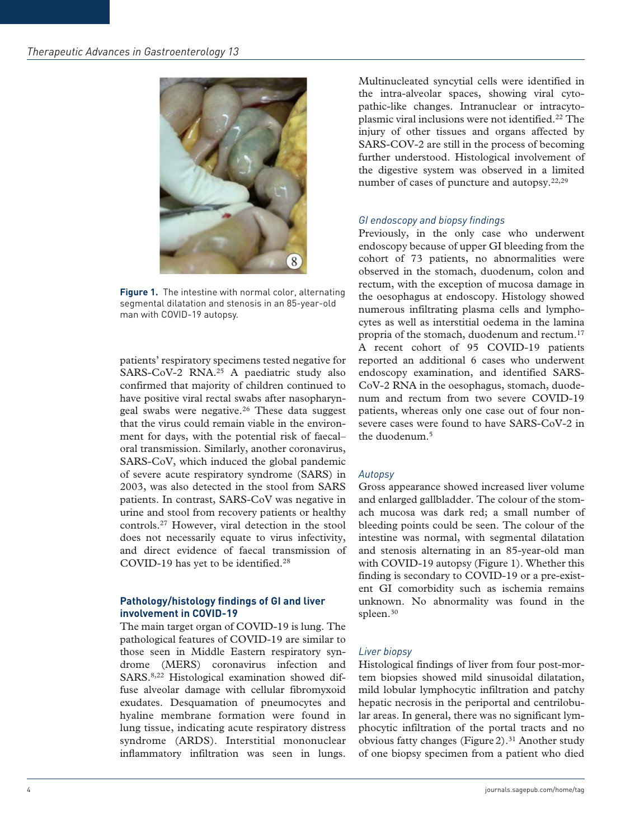

**Figure 1.** The intestine with normal color, alternating segmental dilatation and stenosis in an 85-year-old man with COVID-19 autopsy.

patients' respiratory specimens tested negative for SARS-CoV-2 RNA.25 A paediatric study also confirmed that majority of children continued to have positive viral rectal swabs after nasopharyngeal swabs were negative.26 These data suggest that the virus could remain viable in the environment for days, with the potential risk of faecal– oral transmission. Similarly, another coronavirus, SARS-CoV, which induced the global pandemic of severe acute respiratory syndrome (SARS) in 2003, was also detected in the stool from SARS patients. In contrast, SARS-CoV was negative in urine and stool from recovery patients or healthy controls.27 However, viral detection in the stool does not necessarily equate to virus infectivity, and direct evidence of faecal transmission of COVID-19 has yet to be identified.28

#### **Pathology/histology findings of GI and liver involvement in COVID-19**

The main target organ of COVID-19 is lung. The pathological features of COVID-19 are similar to those seen in Middle Eastern respiratory syndrome (MERS) coronavirus infection and SARS.8,22 Histological examination showed diffuse alveolar damage with cellular fibromyxoid exudates. Desquamation of pneumocytes and hyaline membrane formation were found in lung tissue, indicating acute respiratory distress syndrome (ARDS). Interstitial mononuclear inflammatory infiltration was seen in lungs. Multinucleated syncytial cells were identified in the intra-alveolar spaces, showing viral cytopathic-like changes. Intranuclear or intracytoplasmic viral inclusions were not identified.22 The injury of other tissues and organs affected by SARS-COV-2 are still in the process of becoming further understood. Histological involvement of the digestive system was observed in a limited number of cases of puncture and autopsy.<sup>22,29</sup>

#### *GI endoscopy and biopsy findings*

Previously, in the only case who underwent endoscopy because of upper GI bleeding from the cohort of 73 patients, no abnormalities were observed in the stomach, duodenum, colon and rectum, with the exception of mucosa damage in the oesophagus at endoscopy. Histology showed numerous infiltrating plasma cells and lymphocytes as well as interstitial oedema in the lamina propria of the stomach, duodenum and rectum.17 A recent cohort of 95 COVID-19 patients reported an additional 6 cases who underwent endoscopy examination, and identified SARS-CoV-2 RNA in the oesophagus, stomach, duodenum and rectum from two severe COVID-19 patients, whereas only one case out of four nonsevere cases were found to have SARS-CoV-2 in the duodenum.5

#### *Autopsy*

Gross appearance showed increased liver volume and enlarged gallbladder. The colour of the stomach mucosa was dark red; a small number of bleeding points could be seen. The colour of the intestine was normal, with segmental dilatation and stenosis alternating in an 85-year-old man with COVID-19 autopsy (Figure 1). Whether this finding is secondary to COVID-19 or a pre-existent GI comorbidity such as ischemia remains unknown. No abnormality was found in the spleen.<sup>30</sup>

#### *Liver biopsy*

Histological findings of liver from four post-mortem biopsies showed mild sinusoidal dilatation, mild lobular lymphocytic infiltration and patchy hepatic necrosis in the periportal and centrilobular areas. In general, there was no significant lymphocytic infiltration of the portal tracts and no obvious fatty changes (Figure 2).<sup>31</sup> Another study of one biopsy specimen from a patient who died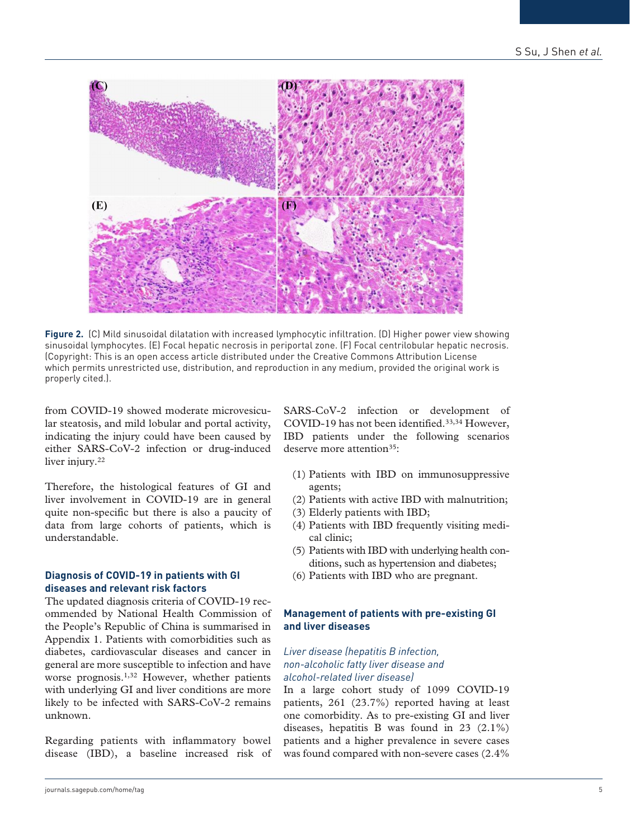

**Figure 2.** (C) Mild sinusoidal dilatation with increased lymphocytic infiltration. (D) Higher power view showing sinusoidal lymphocytes. (E) Focal hepatic necrosis in periportal zone. (F) Focal centrilobular hepatic necrosis. (Copyright: This is an open access article distributed under the Creative Commons Attribution License which permits unrestricted use, distribution, and reproduction in any medium, provided the original work is properly cited.).

from COVID-19 showed moderate microvesicular steatosis, and mild lobular and portal activity, indicating the injury could have been caused by either SARS-CoV-2 infection or drug-induced liver injury.<sup>22</sup>

Therefore, the histological features of GI and liver involvement in COVID-19 are in general quite non-specific but there is also a paucity of data from large cohorts of patients, which is understandable.

#### **Diagnosis of COVID-19 in patients with GI diseases and relevant risk factors**

The updated diagnosis criteria of COVID-19 recommended by National Health Commission of the People's Republic of China is summarised in Appendix 1. Patients with comorbidities such as diabetes, cardiovascular diseases and cancer in general are more susceptible to infection and have worse prognosis.<sup>1,32</sup> However, whether patients with underlying GI and liver conditions are more likely to be infected with SARS-CoV-2 remains unknown.

Regarding patients with inflammatory bowel disease (IBD), a baseline increased risk of SARS-CoV-2 infection or development of COVID-19 has not been identified.<sup>33,34</sup> However, IBD patients under the following scenarios deserve more attention<sup>35</sup>:

- (1) Patients with IBD on immunosuppressive agents;
- (2) Patients with active IBD with malnutrition;
- (3) Elderly patients with IBD;
- (4) Patients with IBD frequently visiting medical clinic;
- (5) Patients with IBD with underlying health conditions, such as hypertension and diabetes;
- (6) Patients with IBD who are pregnant.

#### **Management of patients with pre-existing GI and liver diseases**

#### *Liver disease (hepatitis B infection, non-alcoholic fatty liver disease and alcohol-related liver disease)*

In a large cohort study of 1099 COVID-19 patients, 261 (23.7%) reported having at least one comorbidity. As to pre-existing GI and liver diseases, hepatitis B was found in 23 (2.1%) patients and a higher prevalence in severe cases was found compared with non-severe cases (2.4%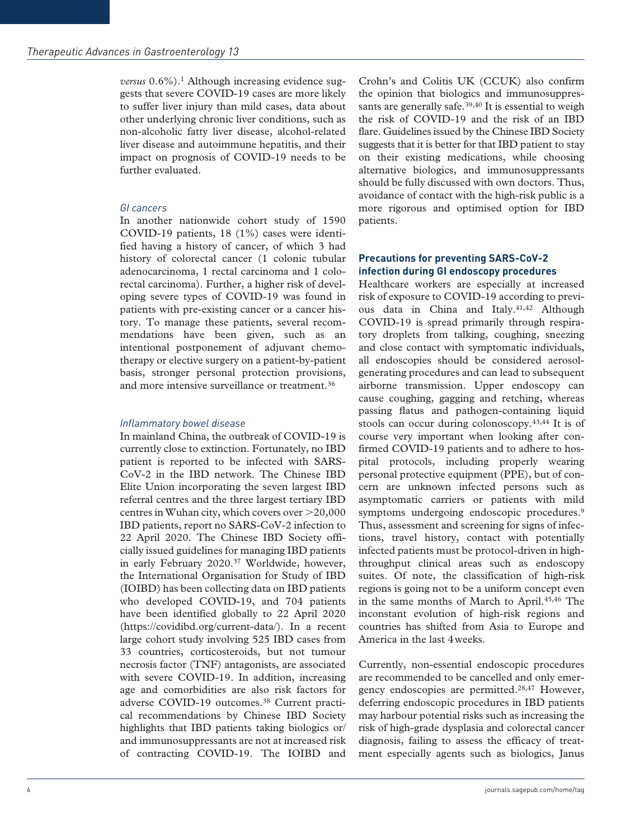*versus* 0.6%).1 Although increasing evidence suggests that severe COVID-19 cases are more likely to suffer liver injury than mild cases, data about other underlying chronic liver conditions, such as non-alcoholic fatty liver disease, alcohol-related liver disease and autoimmune hepatitis, and their impact on prognosis of COVID-19 needs to be further evaluated.

# *GI cancers*

In another nationwide cohort study of 1590 COVID-19 patients, 18 (1%) cases were identified having a history of cancer, of which 3 had history of colorectal cancer (1 colonic tubular adenocarcinoma, 1 rectal carcinoma and 1 colorectal carcinoma). Further, a higher risk of developing severe types of COVID-19 was found in patients with pre-existing cancer or a cancer history. To manage these patients, several recommendations have been given, such as an intentional postponement of adjuvant chemotherapy or elective surgery on a patient-by-patient basis, stronger personal protection provisions, and more intensive surveillance or treatment.<sup>36</sup>

## *Inflammatory bowel disease*

In mainland China, the outbreak of COVID-19 is currently close to extinction. Fortunately, no IBD patient is reported to be infected with SARS-CoV-2 in the IBD network. The Chinese IBD Elite Union incorporating the seven largest IBD referral centres and the three largest tertiary IBD centres in Wuhan city, which covers over >20,000 IBD patients, report no SARS-CoV-2 infection to 22 April 2020. The Chinese IBD Society officially issued guidelines for managing IBD patients in early February 2020.37 Worldwide, however, the International Organisation for Study of IBD (IOIBD) has been collecting data on IBD patients who developed COVID-19, and 704 patients have been identified globally to 22 April 2020 [\(https://covidibd.org/current-data/\)](https://covidibd.org/current-data/). In a recent large cohort study involving 525 IBD cases from 33 countries, corticosteroids, but not tumour necrosis factor (TNF) antagonists, are associated with severe COVID-19. In addition, increasing age and comorbidities are also risk factors for adverse COVID-19 outcomes.38 Current practical recommendations by Chinese IBD Society highlights that IBD patients taking biologics or/ and immunosuppressants are not at increased risk of contracting COVID-19. The IOIBD and

Crohn's and Colitis UK (CCUK) also confirm the opinion that biologics and immunosuppressants are generally safe.<sup>39,40</sup> It is essential to weigh the risk of COVID-19 and the risk of an IBD flare. Guidelines issued by the Chinese IBD Society suggests that it is better for that IBD patient to stay on their existing medications, while choosing alternative biologics, and immunosuppressants should be fully discussed with own doctors. Thus, avoidance of contact with the high-risk public is a more rigorous and optimised option for IBD patients.

### **Precautions for preventing SARS-CoV-2 infection during GI endoscopy procedures**

Healthcare workers are especially at increased risk of exposure to COVID-19 according to previous data in China and Italy.<sup>41,42</sup> Although COVID-19 is spread primarily through respiratory droplets from talking, coughing, sneezing and close contact with symptomatic individuals, all endoscopies should be considered aerosolgenerating procedures and can lead to subsequent airborne transmission. Upper endoscopy can cause coughing, gagging and retching, whereas passing flatus and pathogen-containing liquid stools can occur during colonoscopy.43,44 It is of course very important when looking after confirmed COVID-19 patients and to adhere to hospital protocols, including properly wearing personal protective equipment (PPE), but of concern are unknown infected persons such as asymptomatic carriers or patients with mild symptoms undergoing endoscopic procedures.<sup>9</sup> Thus, assessment and screening for signs of infections, travel history, contact with potentially infected patients must be protocol-driven in highthroughput clinical areas such as endoscopy suites. Of note, the classification of high-risk regions is going not to be a uniform concept even in the same months of March to April.<sup>45,46</sup> The inconstant evolution of high-risk regions and countries has shifted from Asia to Europe and America in the last 4weeks.

Currently, non-essential endoscopic procedures are recommended to be cancelled and only emergency endoscopies are permitted.28,47 However, deferring endoscopic procedures in IBD patients may harbour potential risks such as increasing the risk of high-grade dysplasia and colorectal cancer diagnosis, failing to assess the efficacy of treatment especially agents such as biologics, Janus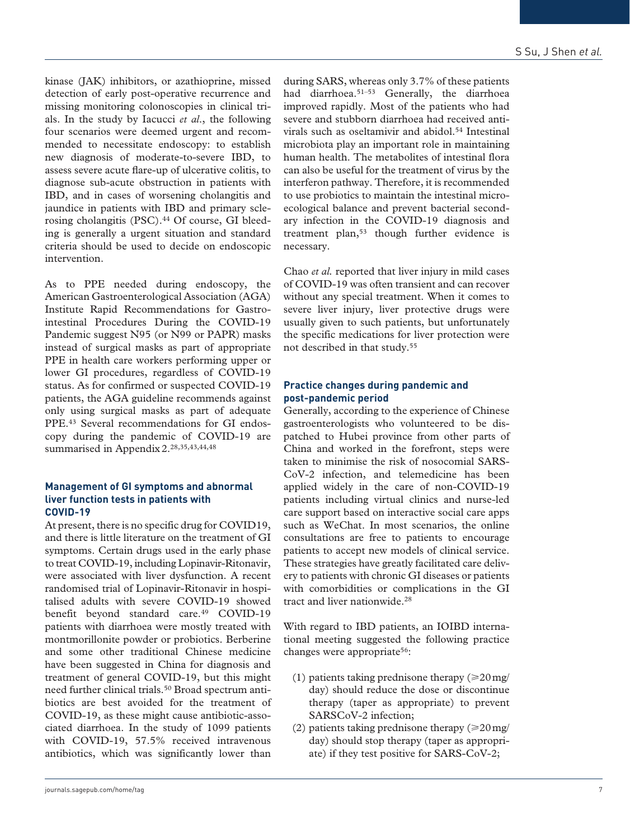kinase (JAK) inhibitors, or azathioprine, missed detection of early post-operative recurrence and missing monitoring colonoscopies in clinical trials. In the study by Iacucci *et al*., the following four scenarios were deemed urgent and recommended to necessitate endoscopy: to establish new diagnosis of moderate-to-severe IBD, to assess severe acute flare-up of ulcerative colitis, to diagnose sub-acute obstruction in patients with IBD, and in cases of worsening cholangitis and jaundice in patients with IBD and primary sclerosing cholangitis (PSC).<sup>44</sup> Of course, GI bleeding is generally a urgent situation and standard criteria should be used to decide on endoscopic intervention.

As to PPE needed during endoscopy, the American Gastroenterological Association (AGA) Institute Rapid Recommendations for Gastrointestinal Procedures During the COVID-19 Pandemic suggest N95 (or N99 or PAPR) masks instead of surgical masks as part of appropriate PPE in health care workers performing upper or lower GI procedures, regardless of COVID-19 status. As for confirmed or suspected COVID-19 patients, the AGA guideline recommends against only using surgical masks as part of adequate PPE.43 Several recommendations for GI endoscopy during the pandemic of COVID-19 are summarised in Appendix2.28,35,43,44,48

#### **Management of GI symptoms and abnormal liver function tests in patients with COVID-19**

At present, there is no specific drug for COVID19, and there is little literature on the treatment of GI symptoms. Certain drugs used in the early phase to treat COVID-19, including Lopinavir-Ritonavir, were associated with liver dysfunction. A recent randomised trial of Lopinavir-Ritonavir in hospitalised adults with severe COVID-19 showed benefit beyond standard care.<sup>49</sup> COVID-19 patients with diarrhoea were mostly treated with montmorillonite powder or probiotics. Berberine and some other traditional Chinese medicine have been suggested in China for diagnosis and treatment of general COVID-19, but this might need further clinical trials.50 Broad spectrum antibiotics are best avoided for the treatment of COVID-19, as these might cause antibiotic-associated diarrhoea. In the study of 1099 patients with COVID-19, 57.5% received intravenous antibiotics, which was significantly lower than during SARS, whereas only 3.7% of these patients had diarrhoea.<sup>51-53</sup> Generally, the diarrhoea improved rapidly. Most of the patients who had severe and stubborn diarrhoea had received antivirals such as oseltamivir and abidol.<sup>54</sup> Intestinal microbiota play an important role in maintaining human health. The metabolites of intestinal flora can also be useful for the treatment of virus by the interferon pathway. Therefore, it is recommended to use probiotics to maintain the intestinal microecological balance and prevent bacterial secondary infection in the COVID-19 diagnosis and treatment plan,<sup>53</sup> though further evidence is necessary.

Chao *et al.* reported that liver injury in mild cases of COVID-19 was often transient and can recover without any special treatment. When it comes to severe liver injury, liver protective drugs were usually given to such patients, but unfortunately the specific medications for liver protection were not described in that study.55

#### **Practice changes during pandemic and post-pandemic period**

Generally, according to the experience of Chinese gastroenterologists who volunteered to be dispatched to Hubei province from other parts of China and worked in the forefront, steps were taken to minimise the risk of nosocomial SARS-CoV-2 infection, and telemedicine has been applied widely in the care of non-COVID-19 patients including virtual clinics and nurse-led care support based on interactive social care apps such as WeChat. In most scenarios, the online consultations are free to patients to encourage patients to accept new models of clinical service. These strategies have greatly facilitated care delivery to patients with chronic GI diseases or patients with comorbidities or complications in the GI tract and liver nationwide.<sup>28</sup>

With regard to IBD patients, an IOIBD international meeting suggested the following practice changes were appropriate<sup>56</sup>:

- (1) patients taking prednisone therapy  $(\geq 20 \text{ mg})$ day) should reduce the dose or discontinue therapy (taper as appropriate) to prevent SARSCoV-2 infection;
- (2) patients taking prednisone therapy ( $\geq 20$  mg/ day) should stop therapy (taper as appropriate) if they test positive for SARS-CoV-2;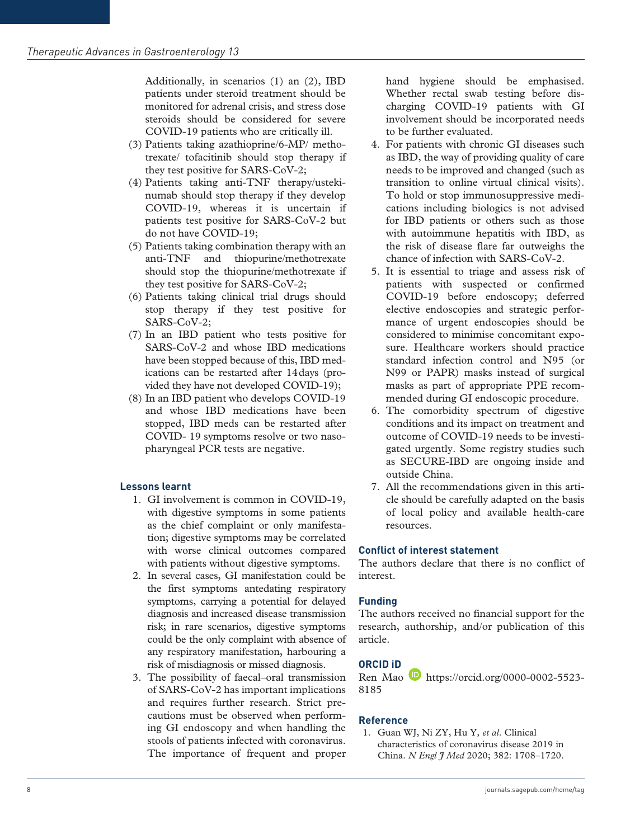Additionally, in scenarios (1) an (2), IBD patients under steroid treatment should be monitored for adrenal crisis, and stress dose steroids should be considered for severe COVID-19 patients who are critically ill.

- (3) Patients taking azathioprine/6-MP/ methotrexate/ tofacitinib should stop therapy if they test positive for SARS-CoV-2;
- (4) Patients taking anti-TNF therapy/ustekinumab should stop therapy if they develop COVID-19, whereas it is uncertain if patients test positive for SARS-CoV-2 but do not have COVID-19;
- (5) Patients taking combination therapy with an anti-TNF and thiopurine/methotrexate should stop the thiopurine/methotrexate if they test positive for SARS-CoV-2;
- (6) Patients taking clinical trial drugs should stop therapy if they test positive for SARS-CoV-2;
- (7) In an IBD patient who tests positive for SARS-CoV-2 and whose IBD medications have been stopped because of this, IBD medications can be restarted after 14days (provided they have not developed COVID-19);
- (8) In an IBD patient who develops COVID-19 and whose IBD medications have been stopped, IBD meds can be restarted after COVID- 19 symptoms resolve or two nasopharyngeal PCR tests are negative.

# **Lessons learnt**

- 1. GI involvement is common in COVID-19, with digestive symptoms in some patients as the chief complaint or only manifestation; digestive symptoms may be correlated with worse clinical outcomes compared with patients without digestive symptoms.
- 2. In several cases, GI manifestation could be the first symptoms antedating respiratory symptoms, carrying a potential for delayed diagnosis and increased disease transmission risk; in rare scenarios, digestive symptoms could be the only complaint with absence of any respiratory manifestation, harbouring a risk of misdiagnosis or missed diagnosis.
- 3. The possibility of faecal–oral transmission of SARS-CoV-2 has important implications and requires further research. Strict precautions must be observed when performing GI endoscopy and when handling the stools of patients infected with coronavirus. The importance of frequent and proper

hand hygiene should be emphasised. Whether rectal swab testing before discharging COVID-19 patients with GI involvement should be incorporated needs to be further evaluated.

- 4. For patients with chronic GI diseases such as IBD, the way of providing quality of care needs to be improved and changed (such as transition to online virtual clinical visits). To hold or stop immunosuppressive medications including biologics is not advised for IBD patients or others such as those with autoimmune hepatitis with IBD, as the risk of disease flare far outweighs the chance of infection with SARS-CoV-2.
- 5. It is essential to triage and assess risk of patients with suspected or confirmed COVID-19 before endoscopy; deferred elective endoscopies and strategic performance of urgent endoscopies should be considered to minimise concomitant exposure. Healthcare workers should practice standard infection control and N95 (or N99 or PAPR) masks instead of surgical masks as part of appropriate PPE recommended during GI endoscopic procedure.
- 6. The comorbidity spectrum of digestive conditions and its impact on treatment and outcome of COVID-19 needs to be investigated urgently. Some registry studies such as SECURE-IBD are ongoing inside and outside China.
- 7. All the recommendations given in this article should be carefully adapted on the basis of local policy and available health-care resources.

# **Conflict of interest statement**

The authors declare that there is no conflict of interest.

# **Funding**

The authors received no financial support for the research, authorship, and/or publication of this article.

# **ORCID iD**

Ren Mao **[https://orcid.org/0000-0002-5523-](https://orcid.org/0000-0002-5523-8185)** [8185](https://orcid.org/0000-0002-5523-8185)

#### **Reference**

1. Guan WJ, Ni ZY, Hu Y*, et al*. Clinical characteristics of coronavirus disease 2019 in China. *N Engl J Med* 2020; 382: 1708–1720.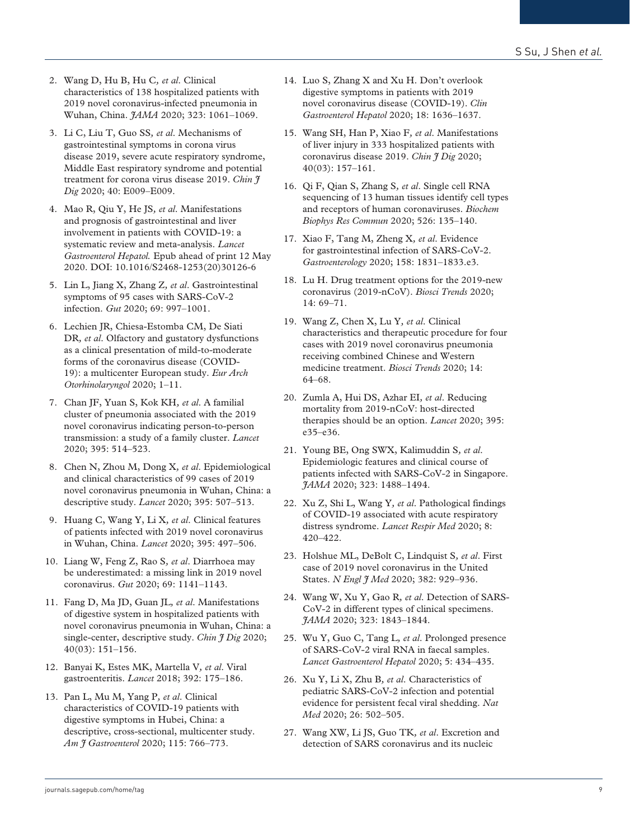- 2. Wang D, Hu B, Hu C*, et al*. Clinical characteristics of 138 hospitalized patients with 2019 novel coronavirus-infected pneumonia in Wuhan, China. *JAMA* 2020; 323: 1061–1069.
- 3. Li C, Liu T, Guo SS*, et al*. Mechanisms of gastrointestinal symptoms in corona virus disease 2019, severe acute respiratory syndrome, Middle East respiratory syndrome and potential treatment for corona virus disease 2019. *Chin J Dig* 2020; 40: E009–E009.
- 4. Mao R, Qiu Y, He JS*, et al*. Manifestations and prognosis of gastrointestinal and liver involvement in patients with COVID-19: a systematic review and meta-analysis. *Lancet Gastroenterol Hepatol.* Epub ahead of print 12 May 2020. DOI: 10.1016/S2468-1253(20)30126-6
- 5. Lin L, Jiang X, Zhang Z*, et al*. Gastrointestinal symptoms of 95 cases with SARS-CoV-2 infection. *Gut* 2020; 69: 997–1001.
- 6. Lechien JR, Chiesa-Estomba CM, De Siati DR*, et al*. Olfactory and gustatory dysfunctions as a clinical presentation of mild-to-moderate forms of the coronavirus disease (COVID-19): a multicenter European study. *Eur Arch Otorhinolaryngol* 2020; 1–11.
- 7. Chan JF, Yuan S, Kok KH*, et al*. A familial cluster of pneumonia associated with the 2019 novel coronavirus indicating person-to-person transmission: a study of a family cluster. *Lancet* 2020; 395: 514–523.
- 8. Chen N, Zhou M, Dong X*, et al*. Epidemiological and clinical characteristics of 99 cases of 2019 novel coronavirus pneumonia in Wuhan, China: a descriptive study. *Lancet* 2020; 395: 507–513.
- 9. Huang C, Wang Y, Li X*, et al*. Clinical features of patients infected with 2019 novel coronavirus in Wuhan, China. *Lancet* 2020; 395: 497–506.
- 10. Liang W, Feng Z, Rao S*, et al*. Diarrhoea may be underestimated: a missing link in 2019 novel coronavirus. *Gut* 2020; 69: 1141–1143.
- 11. Fang D, Ma JD, Guan JL*, et al*. Manifestations of digestive system in hospitalized patients with novel coronavirus pneumonia in Wuhan, China: a single-center, descriptive study. *Chin J Dig* 2020; 40(03): 151–156.
- 12. Banyai K, Estes MK, Martella V*, et al*. Viral gastroenteritis. *Lancet* 2018; 392: 175–186.
- 13. Pan L, Mu M, Yang P*, et al*. Clinical characteristics of COVID-19 patients with digestive symptoms in Hubei, China: a descriptive, cross-sectional, multicenter study. *Am J Gastroenterol* 2020; 115: 766–773.
- 14. Luo S, Zhang X and Xu H. Don't overlook digestive symptoms in patients with 2019 novel coronavirus disease (COVID-19). *Clin Gastroenterol Hepatol* 2020; 18: 1636–1637.
- 15. Wang SH, Han P, Xiao F*, et al*. Manifestations of liver injury in 333 hospitalized patients with coronavirus disease 2019. *Chin J Dig* 2020; 40(03): 157–161.
- 16. Qi F, Qian S, Zhang S*, et al*. Single cell RNA sequencing of 13 human tissues identify cell types and receptors of human coronaviruses. *Biochem Biophys Res Commun* 2020; 526: 135–140.
- 17. Xiao F, Tang M, Zheng X*, et al*. Evidence for gastrointestinal infection of SARS-CoV-2. *Gastroenterology* 2020; 158: 1831–1833.e3.
- 18. Lu H. Drug treatment options for the 2019-new coronavirus (2019-nCoV). *Biosci Trends* 2020; 14: 69–71.
- 19. Wang Z, Chen X, Lu Y*, et al*. Clinical characteristics and therapeutic procedure for four cases with 2019 novel coronavirus pneumonia receiving combined Chinese and Western medicine treatment. *Biosci Trends* 2020; 14: 64–68.
- 20. Zumla A, Hui DS, Azhar EI*, et al*. Reducing mortality from 2019-nCoV: host-directed therapies should be an option. *Lancet* 2020; 395: e35–e36.
- 21. Young BE, Ong SWX, Kalimuddin S*, et al*. Epidemiologic features and clinical course of patients infected with SARS-CoV-2 in Singapore. *JAMA* 2020; 323: 1488–1494.
- 22. Xu Z, Shi L, Wang Y*, et al*. Pathological findings of COVID-19 associated with acute respiratory distress syndrome. *Lancet Respir Med* 2020; 8: 420–422.
- 23. Holshue ML, DeBolt C, Lindquist S*, et al*. First case of 2019 novel coronavirus in the United States. *N Engl J Med* 2020; 382: 929–936.
- 24. Wang W, Xu Y, Gao R*, et al*. Detection of SARS-CoV-2 in different types of clinical specimens. *JAMA* 2020; 323: 1843–1844.
- 25. Wu Y, Guo C, Tang L*, et al*. Prolonged presence of SARS-CoV-2 viral RNA in faecal samples. *Lancet Gastroenterol Hepatol* 2020; 5: 434–435.
- 26. Xu Y, Li X, Zhu B*, et al*. Characteristics of pediatric SARS-CoV-2 infection and potential evidence for persistent fecal viral shedding. *Nat Med* 2020; 26: 502–505.
- 27. Wang XW, Li JS, Guo TK*, et al*. Excretion and detection of SARS coronavirus and its nucleic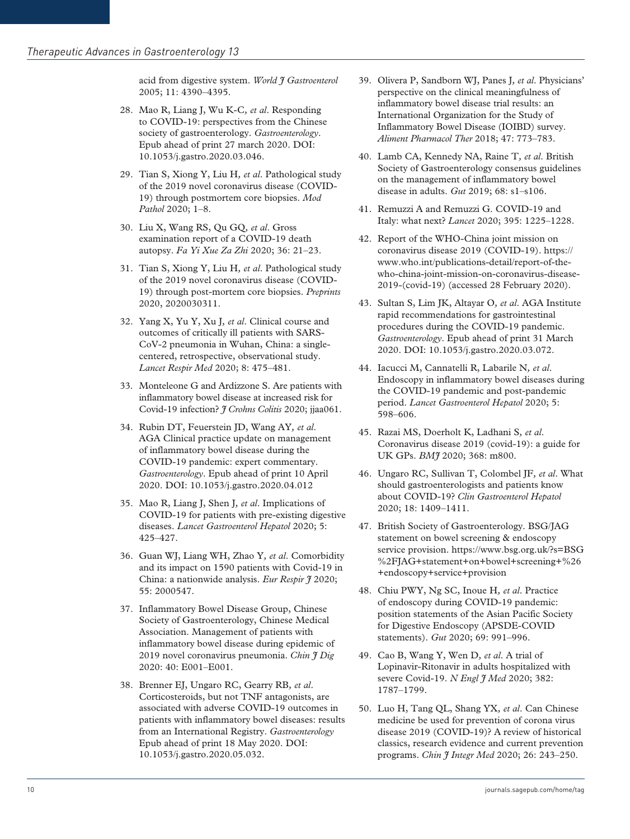acid from digestive system. *World J Gastroenterol* 2005; 11: 4390–4395.

- 28. Mao R, Liang J, Wu K-C*, et al*. Responding to COVID-19: perspectives from the Chinese society of gastroenterology. *Gastroenterology*. Epub ahead of print 27 march 2020. DOI: 10.1053/j.gastro.2020.03.046.
- 29. Tian S, Xiong Y, Liu H*, et al*. Pathological study of the 2019 novel coronavirus disease (COVID-19) through postmortem core biopsies. *Mod Pathol* 2020; 1–8.
- 30. Liu X, Wang RS, Qu GQ*, et al*. Gross examination report of a COVID-19 death autopsy. *Fa Yi Xue Za Zhi* 2020; 36: 21–23.
- 31. Tian S, Xiong Y, Liu H*, et al*. Pathological study of the 2019 novel coronavirus disease (COVID-19) through post-mortem core biopsies. *Preprints* 2020, 2020030311.
- 32. Yang X, Yu Y, Xu J*, et al*. Clinical course and outcomes of critically ill patients with SARS-CoV-2 pneumonia in Wuhan, China: a singlecentered, retrospective, observational study. *Lancet Respir Med* 2020; 8: 475–481.
- 33. Monteleone G and Ardizzone S. Are patients with inflammatory bowel disease at increased risk for Covid-19 infection? *J Crohns Colitis* 2020; jjaa061.
- 34. Rubin DT, Feuerstein JD, Wang AY*, et al*. AGA Clinical practice update on management of inflammatory bowel disease during the COVID-19 pandemic: expert commentary. *Gastroenterology*. Epub ahead of print 10 April 2020. DOI: 10.1053/j.gastro.2020.04.012
- 35. Mao R, Liang J, Shen J*, et al*. Implications of COVID-19 for patients with pre-existing digestive diseases. *Lancet Gastroenterol Hepatol* 2020; 5: 425–427.
- 36. Guan WJ, Liang WH, Zhao Y*, et al*. Comorbidity and its impact on 1590 patients with Covid-19 in China: a nationwide analysis. *Eur Respir J* 2020; 55: 2000547.
- 37. Inflammatory Bowel Disease Group, Chinese Society of Gastroenterology, Chinese Medical Association. Management of patients with inflammatory bowel disease during epidemic of 2019 novel coronavirus pneumonia. *Chin J Dig* 2020: 40: E001–E001.
- 38. Brenner EJ, Ungaro RC, Gearry RB*, et al*. Corticosteroids, but not TNF antagonists, are associated with adverse COVID-19 outcomes in patients with inflammatory bowel diseases: results from an International Registry. *Gastroenterology* Epub ahead of print 18 May 2020. DOI: 10.1053/j.gastro.2020.05.032.
- 39. Olivera P, Sandborn WJ, Panes J*, et al*. Physicians' perspective on the clinical meaningfulness of inflammatory bowel disease trial results: an International Organization for the Study of Inflammatory Bowel Disease (IOIBD) survey. *Aliment Pharmacol Ther* 2018; 47: 773–783.
- 40. Lamb CA, Kennedy NA, Raine T*, et al*. British Society of Gastroenterology consensus guidelines on the management of inflammatory bowel disease in adults. *Gut* 2019; 68: s1–s106.
- 41. Remuzzi A and Remuzzi G. COVID-19 and Italy: what next? *Lancet* 2020; 395: 1225–1228.
- 42. Report of the WHO-China joint mission on coronavirus disease 2019 (COVID-19). https:// www.who.int/publications-detail/report-of-thewho-china-joint-mission-on-coronavirus-disease-2019-(covid-19) (accessed 28 February 2020).
- 43. Sultan S, Lim JK, Altayar O*, et al*. AGA Institute rapid recommendations for gastrointestinal procedures during the COVID-19 pandemic. *Gastroenterology*. Epub ahead of print 31 March 2020. DOI: 10.1053/j.gastro.2020.03.072.
- 44. Iacucci M, Cannatelli R, Labarile N*, et al*. Endoscopy in inflammatory bowel diseases during the COVID-19 pandemic and post-pandemic period. *Lancet Gastroenterol Hepatol* 2020; 5: 598–606.
- 45. Razai MS, Doerholt K, Ladhani S*, et al*. Coronavirus disease 2019 (covid-19): a guide for UK GPs. *BMJ* 2020; 368: m800.
- 46. Ungaro RC, Sullivan T, Colombel JF*, et al*. What should gastroenterologists and patients know about COVID-19? *Clin Gastroenterol Hepatol* 2020; 18: 1409–1411.
- 47. British Society of Gastroenterology. BSG/JAG statement on bowel screening & endoscopy service provision. https://www.bsg.org.uk/?s=BSG %2FJAG+statement+on+bowel+screening+%26 +endoscopy+service+provision
- 48. Chiu PWY, Ng SC, Inoue H*, et al*. Practice of endoscopy during COVID-19 pandemic: position statements of the Asian Pacific Society for Digestive Endoscopy (APSDE-COVID statements). *Gut* 2020; 69: 991–996.
- 49. Cao B, Wang Y, Wen D*, et al*. A trial of Lopinavir-Ritonavir in adults hospitalized with severe Covid-19. *N Engl J Med* 2020; 382: 1787–1799.
- 50. Luo H, Tang QL, Shang YX*, et al*. Can Chinese medicine be used for prevention of corona virus disease 2019 (COVID-19)? A review of historical classics, research evidence and current prevention programs. *Chin J Integr Med* 2020; 26: 243–250.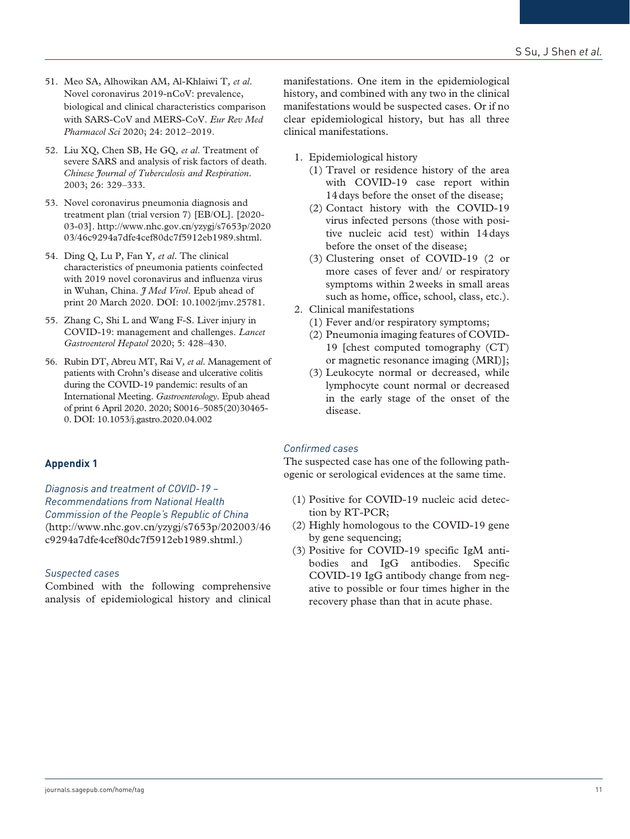- 51. Meo SA, Alhowikan AM, Al-Khlaiwi T*, et al*. Novel coronavirus 2019-nCoV: prevalence, biological and clinical characteristics comparison with SARS-CoV and MERS-CoV. *Eur Rev Med Pharmacol Sci* 2020; 24: 2012–2019.
- 52. Liu XQ, Chen SB, He GQ*, et al*. Treatment of severe SARS and analysis of risk factors of death. *Chinese Journal of Tuberculosis and Respiration*. 2003; 26: 329–333.
- 53. Novel coronavirus pneumonia diagnosis and treatment plan (trial version 7) [EB/OL]. [2020- 03-03]. [http://www.nhc.gov.cn/yzygj/s7653p/2020](http://www.nhc.gov.cn/yzygj/s7653p/202003/46c9294a7dfe4cef80dc7f5912eb1989.shtml) [03/46c9294a7dfe4cef80dc7f5912eb1989.shtml](http://www.nhc.gov.cn/yzygj/s7653p/202003/46c9294a7dfe4cef80dc7f5912eb1989.shtml).
- 54. Ding Q, Lu P, Fan Y*, et al*. The clinical characteristics of pneumonia patients coinfected with 2019 novel coronavirus and influenza virus in Wuhan, China. *J Med Virol*. Epub ahead of print 20 March 2020. DOI: 10.1002/jmv.25781.
- 55. Zhang C, Shi L and Wang F-S. Liver injury in COVID-19: management and challenges. *Lancet Gastroenterol Hepatol* 2020; 5: 428–430.
- 56. Rubin DT, Abreu MT, Rai V*, et al*. Management of patients with Crohn's disease and ulcerative colitis during the COVID-19 pandemic: results of an International Meeting. *Gastroenterology*. Epub ahead of print 6 April 2020. 2020; S0016–5085(20)30465- 0. DOI: 10.1053/j.gastro.2020.04.002

#### **Appendix 1**

*Diagnosis and treatment of COVID-19 – Recommendations from National Health Commission of the People's Republic of China* [\(http://www.nhc.gov.cn/yzygj/s7653p/202003/46](http://www.nhc.gov.cn/yzygj/s7653p/202003/46c9294a7dfe4cef80dc7f5912eb1989.shtml) [c9294a7dfe4cef80dc7f5912eb1989.shtml.](http://www.nhc.gov.cn/yzygj/s7653p/202003/46c9294a7dfe4cef80dc7f5912eb1989.shtml))

#### *Suspected cases*

Combined with the following comprehensive analysis of epidemiological history and clinical manifestations. One item in the epidemiological history, and combined with any two in the clinical manifestations would be suspected cases. Or if no clear epidemiological history, but has all three clinical manifestations.

- 1. Epidemiological history
	- (1) Travel or residence history of the area with COVID-19 case report within 14days before the onset of the disease;
	- (2) Contact history with the COVID-19 virus infected persons (those with positive nucleic acid test) within 14days before the onset of the disease;
	- (3) Clustering onset of COVID-19 (2 or more cases of fever and/ or respiratory symptoms within 2weeks in small areas such as home, office, school, class, etc.).
- 2. Clinical manifestations
	- (1) Fever and/or respiratory symptoms;
	- (2) Pneumonia imaging features of COVID-19 [chest computed tomography (CT) or magnetic resonance imaging (MRI)];
	- (3) Leukocyte normal or decreased, while lymphocyte count normal or decreased in the early stage of the onset of the disease.

#### *Confirmed cases*

The suspected case has one of the following pathogenic or serological evidences at the same time.

- (1) Positive for COVID-19 nucleic acid detection by RT-PCR;
- (2) Highly homologous to the COVID-19 gene by gene sequencing;
- (3) Positive for COVID-19 specific IgM antibodies and IgG antibodies. Specific COVID-19 IgG antibody change from negative to possible or four times higher in the recovery phase than that in acute phase.